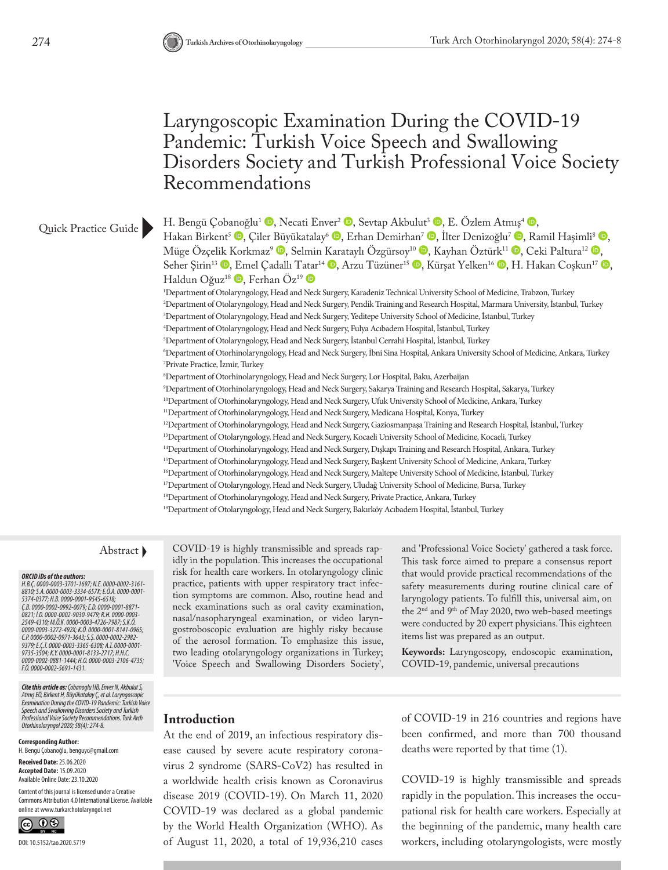# Laryngoscopic Examination During the COVID-19 Pandemic: Turkish Voice Speech and Swallowing Disorders Society and Turkish Professional Voice Society Recommendations

### Quick Practice Guide

Hakan Birkent<sup>5</sup> <sup>(1</sup>), Çiler [Büy](http://orcid.org/0000-0003-4726-7987)ükatalay<sup>6</sup> (1)[,](http://orcid.org/0000-0003-2549-4310) Erhan Demirhan<sup>7</sup> (10), İlter Denizoğlu<sup>7</sup> (10), Ramil Haşimli<sup>8</sup> (10), Müge Özçe[lik K](http://orcid.org/0000-0002-2982-9379)o[rk](http://orcid.org/0000-0001-8133-2717)maz<sup>9</sup>  $\bullet$ , Selmin [Kar](http://orcid.org/0000-0003-3365-6308)ataylı Özgürsoy<sup>10</sup>  $\bullet$ [,](http://orcid.org/0000-0002-0971-3643) Kayhan Öztürk<sup>11</sup>  $\bullet$ , Ceki Paltura<sup>12</sup>  $\bullet$ , Seher Şirin<sup>13</sup> <sup>(D</sup>[, Em](http://orcid.org/0000-0003-2106-4735)el Çadallı T[atar](http://orcid.org/0000-0002-5691-1431)<sup>14</sup> <sup>(D</sup>[,](http://orcid.org/0000-0001-9735-3504) Arzu Tüzüner<sup>15</sup> (D[,](http://orcid.org/0000-0002-0881-1444) Kürşat Yelken<sup>16</sup> (D, H. Hakan Coşkun<sup>17</sup> (D, Haldun Oğuz<sup>18</sup>  $\mathbb{D}$ , Ferhan Öz<sup>19</sup>  $\mathbb{D}$ 1 Department of Otolaryngology, Head and Neck Surgery, Karadeniz Technical University School of Medicine, Trabzon, Turkey 2 Department of Otolaryngology, Head and Neck Surgery, Pendik Training and Research Hospital, Marmara University, İstanbul, Turkey 3 Department of Otolaryngology, Head and Neck Surgery, Yeditepe University School of Medicine, İstanbul, Turkey 4 Department of Otolaryngology, Head and Neck Surgery, Fulya Acıbadem Hospital, İstanbul, Turkey 5 Department of Otolaryngology, Head and Neck Surgery, İstanbul Cerrahi Hospital, İstanbul, Turkey 6 Department of Otorhinolaryngology, Head and Neck Surgery, İbni Sina Hospital, Ankara University School of Medicine, Ankara, Turkey 7 Private Practice, İzmir, Turkey 8 Department of Otorhinolaryngology, Head and Neck Surgery, Lor Hospital, Baku, Azerbaijan 9 Department of Otorhinolaryngology, Head and Neck Surgery, Sakarya Training and Research Hospital, Sakarya, Turkey <sup>10</sup>Department of Otorhinolaryngology, Head and Neck Surgery, Ufuk University School of Medicine, Ankara, Turkey <sup>11</sup>Department of Otorhinolaryngology, Head and Neck Surgery, Medicana Hospital, Konya, Turkey

<sup>12</sup>Department of Otorhinolaryngology, Head and Neck Surgery, Gaziosmanpaşa Training and Research Hospital, İstanbul, Turkey

<sup>13</sup>Department of Otolaryngology, Head and Neck Surgery, Kocaeli University School of Medicine, Kocaeli, Turkey

H. Bengü Çob[anoğ](http://orcid.org/0000-0001-9545-6518)lu<sup>1</sup> <sup>(1</sup>)[,](http://orcid.org/0000-0001-5374-0377) Necati Env[er](http://orcid.org/0000-0002-0992-0079)<sup>2</sup> <sup>(1</sup>), Sevtap Akbulut<sup>3</sup> (1), E. Özlem At[mış](http://orcid.org/0000-0002-9030-9479)<sup>4</sup> (1),

14Department of Otorhinolaryngology, Head and Neck Surgery, Dışkapı Training and Research Hospital, Ankara, Turkey

15Department of Otorhinolaryngology, Head and Neck Surgery, Başkent University School of Medicine, Ankara, Turkey

16Department of Otorhinolaryngology, Head and Neck Surgery, Maltepe University School of Medicine, İstanbul, Turkey

<sup>17</sup>Department of Otolaryngology, Head and Neck Surgery, Uludağ University School of Medicine, Bursa, Turkey

<sup>18</sup>Department of Otorhinolaryngology, Head and Neck Surgery, Private Practice, Ankara, Turkey

<sup>19</sup>Department of Otolaryngology, Head and Neck Surgery, Bakırköy Acıbadem Hospital, İstanbul, Turkey

*ORCID iDs of the authors: H.B.Ç. 0000-0003-3701-1697; N.E. 0000-0002-3161- 8810; S.A. 0000-0003-3334-657X; E.Ö.A. 0000-0001- 5374-0377; H.B. 0000-0001-9545-6518; Ç.B. 0000-0002-0992-0079; E.D. 0000-0001-8871- 0821; İ.D. 0000-0002-9030-9479; R.H. 0000-0003- 2549-4310; M.Ö.K. 0000-0003-4726-7987; S.K.Ö. 0000-0003-3272-492X; K.Ö. 0000-0001-8141-0965; C.P. 0000-0002-0971-3643; S.Ş. 0000-0002-2982- 9379; E.Ç.T. 0000-0003-3365-6308; A.T. 0000-0001- 9735-3504; K.Y. 0000-0001-8133-2717; H.H.C. 0000-0002-0881-1444; H.O. 0000-0003-2106-4735; F.Ö. 0000-0002-5691-1431.* 

*Cite this article as: Çobanoglu HB, Enver N, Akbulut S,*  Atmiş EÖ, Birkent H, Büyükatalay Ç, et al. Laryngoscopic<br>Examination During the COVID-19 Pandemic: Turkish Voice<br>Speech and Swallowing Disorders Society and Turkish<br>Professional Voice Society Recommendations. Turk Arch<br>Oto

### **Corresponding Author:**

H. Bengü Çobanoğlu, benguyc@gmail.com

**Received Date:** 25.06.2020 **Accepted Date:** 15.09.2020 Available Online Date: 23.10.2020

Content of this journal is licensed under a Creative Commons Attribution 4.0 International License. Available online at www.turkarchotolaryngol.net



DOI: 10.5152/tao.2020.5719

Abstract COVID-19 is highly transmissible and spreads rapidly in the population. This increases the occupational risk for health care workers. In otolaryngology clinic practice, patients with upper respiratory tract infection symptoms are common. Also, routine head and neck examinations such as oral cavity examination, nasal/nasopharyngeal examination, or video laryngostroboscopic evaluation are highly risky because of the aerosol formation. To emphasize this issue, two leading otolaryngology organizations in Turkey; 'Voice Speech and Swallowing Disorders Society', and 'Professional Voice Society' gathered a task force. This task force aimed to prepare a consensus report that would provide practical recommendations of the safety measurements during routine clinical care of laryngology patients. To fulfill this, universal aim, on the 2<sup>nd</sup> and 9<sup>th</sup> of May 2020, two web-based meetings were conducted by 20 expert physicians. This eighteen items list was prepared as an output.

**Keywords:** Laryngoscopy, endoscopic examination, COVID-19, pandemic, universal precautions

At the end of 2019, an infectious respiratory disease caused by severe acute respiratory coronavirus 2 syndrome (SARS-CoV2) has resulted in a worldwide health crisis known as Coronavirus disease 2019 (COVID-19). On March 11, 2020 COVID-19 was declared as a global pandemic by the World Health Organization (WHO). As of August 11, 2020, a total of 19,936,210 cases of COVID-19 in 216 countries and regions have been confirmed, and more than 700 thousand deaths were reported by that time (1).

COVID-19 is highly transmissible and spreads rapidly in the population. This increases the occupational risk for health care workers. Especially at the beginning of the pandemic, many health care workers, including otolaryngologists, were mostly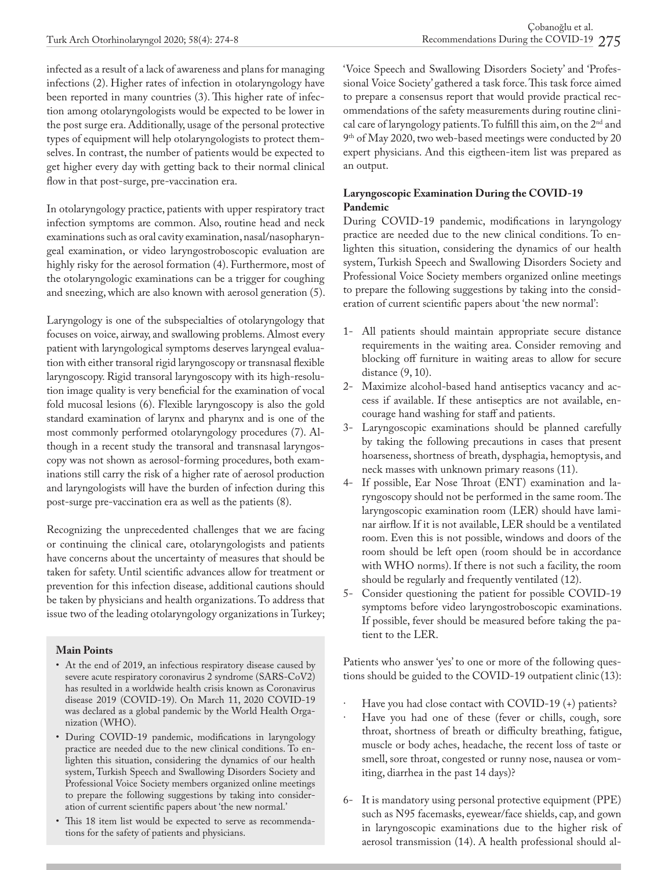infected as a result of a lack of awareness and plans for managing infections (2). Higher rates of infection in otolaryngology have been reported in many countries (3). This higher rate of infection among otolaryngologists would be expected to be lower in the post surge era. Additionally, usage of the personal protective types of equipment will help otolaryngologists to protect themselves. In contrast, the number of patients would be expected to get higher every day with getting back to their normal clinical flow in that post-surge, pre-vaccination era.

In otolaryngology practice, patients with upper respiratory tract infection symptoms are common. Also, routine head and neck examinations such as oral cavity examination, nasal/nasopharyngeal examination, or video laryngostroboscopic evaluation are highly risky for the aerosol formation (4). Furthermore, most of the otolaryngologic examinations can be a trigger for coughing and sneezing, which are also known with aerosol generation (5).

Laryngology is one of the subspecialties of otolaryngology that focuses on voice, airway, and swallowing problems. Almost every patient with laryngological symptoms deserves laryngeal evaluation with either transoral rigid laryngoscopy or transnasal flexible laryngoscopy. Rigid transoral laryngoscopy with its high-resolution image quality is very beneficial for the examination of vocal fold mucosal lesions (6). Flexible laryngoscopy is also the gold standard examination of larynx and pharynx and is one of the most commonly performed otolaryngology procedures (7). Although in a recent study the transoral and transnasal laryngoscopy was not shown as aerosol-forming procedures, both examinations still carry the risk of a higher rate of aerosol production and laryngologists will have the burden of infection during this post-surge pre-vaccination era as well as the patients (8).

Recognizing the unprecedented challenges that we are facing or continuing the clinical care, otolaryngologists and patients have concerns about the uncertainty of measures that should be taken for safety. Until scientific advances allow for treatment or prevention for this infection disease, additional cautions should be taken by physicians and health organizations. To address that issue two of the leading otolaryngology organizations in Turkey;

### **Main Points**

- At the end of 2019, an infectious respiratory disease caused by severe acute respiratory coronavirus 2 syndrome (SARS-CoV2) has resulted in a worldwide health crisis known as Coronavirus disease 2019 (COVID-19). On March 11, 2020 COVID-19 was declared as a global pandemic by the World Health Organization (WHO).
- During COVID-19 pandemic, modifications in laryngology practice are needed due to the new clinical conditions. To enlighten this situation, considering the dynamics of our health system, Turkish Speech and Swallowing Disorders Society and Professional Voice Society members organized online meetings to prepare the following suggestions by taking into consideration of current scientific papers about 'the new normal.'
- This 18 item list would be expected to serve as recommendations for the safety of patients and physicians.

'Voice Speech and Swallowing Disorders Society' and 'Professional Voice Society' gathered a task force. This task force aimed to prepare a consensus report that would provide practical recommendations of the safety measurements during routine clinical care of laryngology patients. To fulfill this aim, on the  $2<sup>nd</sup>$  and 9th of May 2020, two web-based meetings were conducted by 20 expert physicians. And this eigtheen-item list was prepared as an output.

### **Laryngoscopic Examination During the COVID-19 Pandemic**

During COVID-19 pandemic, modifications in laryngology practice are needed due to the new clinical conditions. To enlighten this situation, considering the dynamics of our health system, Turkish Speech and Swallowing Disorders Society and Professional Voice Society members organized online meetings to prepare the following suggestions by taking into the consideration of current scientific papers about 'the new normal':

- 1- All patients should maintain appropriate secure distance requirements in the waiting area. Consider removing and blocking off furniture in waiting areas to allow for secure distance (9, 10).
- 2- Maximize alcohol-based hand antiseptics vacancy and access if available. If these antiseptics are not available, encourage hand washing for staff and patients.
- 3- Laryngoscopic examinations should be planned carefully by taking the following precautions in cases that present hoarseness, shortness of breath, dysphagia, hemoptysis, and neck masses with unknown primary reasons (11).
- 4- If possible, Ear Nose Throat (ENT) examination and laryngoscopy should not be performed in the same room. The laryngoscopic examination room (LER) should have laminar airflow. If it is not available, LER should be a ventilated room. Even this is not possible, windows and doors of the room should be left open (room should be in accordance with WHO norms). If there is not such a facility, the room should be regularly and frequently ventilated (12).
- 5- Consider questioning the patient for possible COVID-19 symptoms before video laryngostroboscopic examinations. If possible, fever should be measured before taking the patient to the LER.

Patients who answer 'yes' to one or more of the following questions should be guided to the COVID-19 outpatient clinic (13):

- Have you had close contact with COVID-19 (+) patients?
- Have you had one of these (fever or chills, cough, sore throat, shortness of breath or difficulty breathing, fatigue, muscle or body aches, headache, the recent loss of taste or smell, sore throat, congested or runny nose, nausea or vomiting, diarrhea in the past 14 days)?
- 6- It is mandatory using personal protective equipment (PPE) such as N95 facemasks, eyewear/face shields, cap, and gown in laryngoscopic examinations due to the higher risk of aerosol transmission (14). A health professional should al-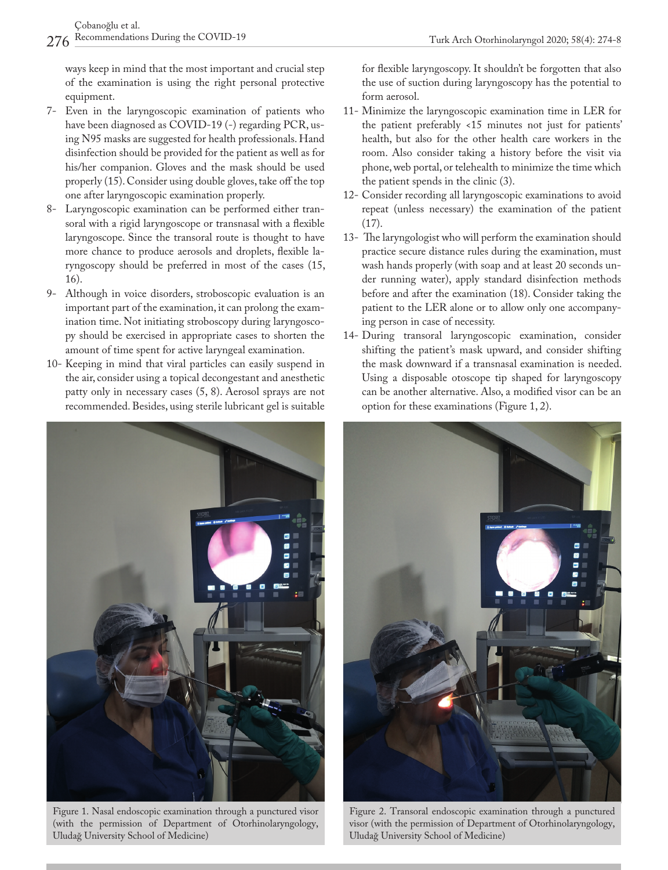ways keep in mind that the most important and crucial step of the examination is using the right personal protective equipment.

- 7- Even in the laryngoscopic examination of patients who have been diagnosed as COVID-19 (-) regarding PCR, using N95 masks are suggested for health professionals. Hand disinfection should be provided for the patient as well as for his/her companion. Gloves and the mask should be used properly (15). Consider using double gloves, take off the top one after laryngoscopic examination properly.
- 8- Laryngoscopic examination can be performed either transoral with a rigid laryngoscope or transnasal with a flexible laryngoscope. Since the transoral route is thought to have more chance to produce aerosols and droplets, flexible laryngoscopy should be preferred in most of the cases (15, 16).
- 9- Although in voice disorders, stroboscopic evaluation is an important part of the examination, it can prolong the examination time. Not initiating stroboscopy during laryngoscopy should be exercised in appropriate cases to shorten the amount of time spent for active laryngeal examination.
- 10- Keeping in mind that viral particles can easily suspend in the air, consider using a topical decongestant and anesthetic patty only in necessary cases (5, 8). Aerosol sprays are not recommended. Besides, using sterile lubricant gel is suitable



Figure 1. Nasal endoscopic examination through a punctured visor (with the permission of Department of Otorhinolaryngology, Uludağ University School of Medicine)

for flexible laryngoscopy. It shouldn't be forgotten that also the use of suction during laryngoscopy has the potential to form aerosol.

- 11- Minimize the laryngoscopic examination time in LER for the patient preferably <15 minutes not just for patients' health, but also for the other health care workers in the room. Also consider taking a history before the visit via phone, web portal, or telehealth to minimize the time which the patient spends in the clinic (3).
- 12- Consider recording all laryngoscopic examinations to avoid repeat (unless necessary) the examination of the patient (17).
- 13- The laryngologist who will perform the examination should practice secure distance rules during the examination, must wash hands properly (with soap and at least 20 seconds under running water), apply standard disinfection methods before and after the examination (18). Consider taking the patient to the LER alone or to allow only one accompanying person in case of necessity.
- 14- During transoral laryngoscopic examination, consider shifting the patient's mask upward, and consider shifting the mask downward if a transnasal examination is needed. Using a disposable otoscope tip shaped for laryngoscopy can be another alternative. Also, a modified visor can be an option for these examinations (Figure 1, 2).



Figure 2. Transoral endoscopic examination through a punctured visor (with the permission of Department of Otorhinolaryngology, Uludağ University School of Medicine)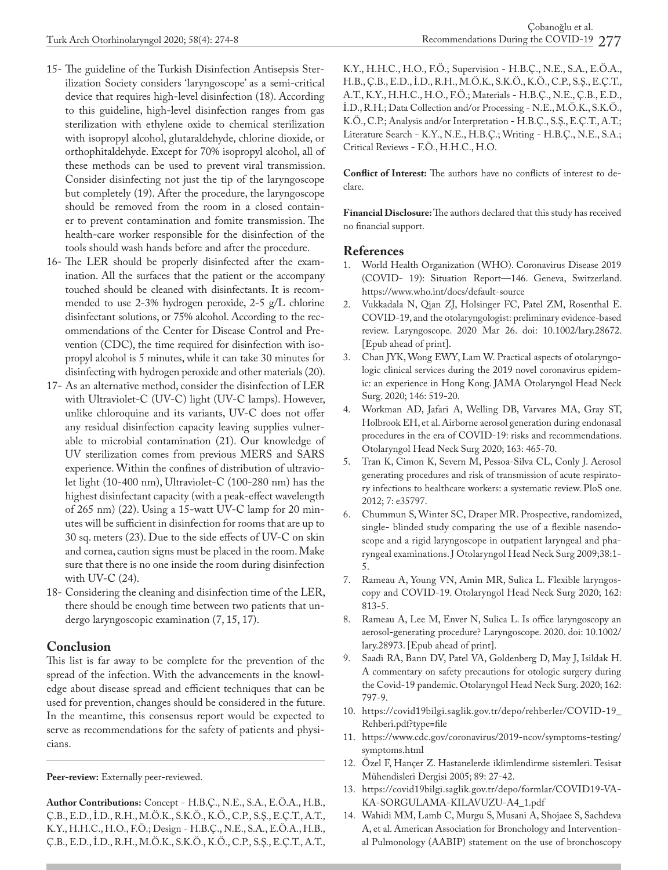- 15- The guideline of the Turkish Disinfection Antisepsis Sterilization Society considers 'laryngoscope' as a semi-critical device that requires high-level disinfection (18). According to this guideline, high-level disinfection ranges from gas sterilization with ethylene oxide to chemical sterilization with isopropyl alcohol, glutaraldehyde, chlorine dioxide, or orthophitaldehyde. Except for 70% isopropyl alcohol, all of these methods can be used to prevent viral transmission. Consider disinfecting not just the tip of the laryngoscope but completely (19). After the procedure, the laryngoscope should be removed from the room in a closed container to prevent contamination and fomite transmission. The health-care worker responsible for the disinfection of the tools should wash hands before and after the procedure.
- 16- The LER should be properly disinfected after the examination. All the surfaces that the patient or the accompany touched should be cleaned with disinfectants. It is recommended to use 2-3% hydrogen peroxide, 2-5 g/L chlorine disinfectant solutions, or 75% alcohol. According to the recommendations of the Center for Disease Control and Prevention (CDC), the time required for disinfection with isopropyl alcohol is 5 minutes, while it can take 30 minutes for disinfecting with hydrogen peroxide and other materials (20).
- 17- As an alternative method, consider the disinfection of LER with Ultraviolet-C (UV-C) light (UV-C lamps). However, unlike chloroquine and its variants, UV-C does not offer any residual disinfection capacity leaving supplies vulnerable to microbial contamination (21). Our knowledge of UV sterilization comes from previous MERS and SARS experience. Within the confines of distribution of ultraviolet light (10-400 nm), Ultraviolet-C (100-280 nm) has the highest disinfectant capacity (with a peak-effect wavelength of 265 nm) (22). Using a 15-watt UV-C lamp for 20 minutes will be sufficient in disinfection for rooms that are up to 30 sq. meters (23). Due to the side effects of UV-C on skin and cornea, caution signs must be placed in the room. Make sure that there is no one inside the room during disinfection with UV-C (24).
- 18- Considering the cleaning and disinfection time of the LER, there should be enough time between two patients that undergo laryngoscopic examination (7, 15, 17).

## **Conclusion**

This list is far away to be complete for the prevention of the spread of the infection. With the advancements in the knowledge about disease spread and efficient techniques that can be used for prevention, changes should be considered in the future. In the meantime, this consensus report would be expected to serve as recommendations for the safety of patients and physicians.

**Peer-review:** Externally peer-reviewed.

**Author Contributions:** Concept - H.B.Ç., N.E., S.A., E.Ö.A., H.B., Ç.B., E.D., İ.D., R.H., M.Ö.K., S.K.Ö., K.Ö., C.P., S.Ş., E.Ç.T., A.T., K.Y., H.H.C., H.O., F.Ö.; Design - H.B.Ç., N.E., S.A., E.Ö.A., H.B., Ç.B., E.D., İ.D., R.H., M.Ö.K., S.K.Ö., K.Ö., C.P., S.Ş., E.Ç.T., A.T., K.Y., H.H.C., H.O., F.Ö.; Supervision - H.B.Ç., N.E., S.A., E.Ö.A., H.B., Ç.B., E.D., İ.D., R.H., M.Ö.K., S.K.Ö., K.Ö., C.P., S.Ş., E.Ç.T., A.T., K.Y., H.H.C., H.O., F.Ö.; Materials - H.B.Ç., N.E., Ç.B., E.D., İ.D., R.H.; Data Collection and/or Processing - N.E., M.Ö.K., S.K.Ö., K.Ö., C.P.; Analysis and/or Interpretation - H.B.Ç., S.Ş., E.Ç.T., A.T.; Literature Search - K.Y., N.E., H.B.Ç.; Writing - H.B.Ç., N.E., S.A.; Critical Reviews - F.Ö., H.H.C., H.O.

**Conflict of Interest:** The authors have no conflicts of interest to declare.

**Financial Disclosure:** The authors declared that this study has received no financial support.

### **References**

- 1. World Health Organization (WHO). Coronavirus Disease 2019 (COVID- 19): Situation Report—146. Geneva, Switzerland. https://www.who.int/docs/default-source
- 2. Vukkadala N, Qian ZJ, Holsinger FC, Patel ZM, Rosenthal E. COVID-19, and the otolaryngologist: preliminary evidence-based review. Laryngoscope. 2020 Mar 26. doi: 10.1002/lary.28672. [Epub ahead of print].
- 3. Chan JYK, Wong EWY, Lam W. Practical aspects of otolaryngologic clinical services during the 2019 novel coronavirus epidemic: an experience in Hong Kong. JAMA Otolaryngol Head Neck Surg. 2020; 146: 519-20.
- 4. Workman AD, Jafari A, Welling DB, Varvares MA, Gray ST, Holbrook EH, et al. Airborne aerosol generation during endonasal procedures in the era of COVID-19: risks and recommendations. Otolaryngol Head Neck Surg 2020; 163: 465-70.
- 5. Tran K, Cimon K, Severn M, Pessoa-Silva CL, Conly J. Aerosol generating procedures and risk of transmission of acute respiratory infections to healthcare workers: a systematic review. PloS one. 2012; 7: e35797.
- 6. Chummun S, Winter SC, Draper MR. Prospective, randomized, single- blinded study comparing the use of a flexible nasendoscope and a rigid laryngoscope in outpatient laryngeal and pharyngeal examinations. J Otolaryngol Head Neck Surg 2009;38:1- 5.
- 7. Rameau A, Young VN, Amin MR, Sulica L. Flexible laryngoscopy and COVID-19. Otolaryngol Head Neck Surg 2020; 162: 813-5.
- 8. Rameau A, Lee M, Enver N, Sulica L. Is office laryngoscopy an aerosol-generating procedure? Laryngoscope. 2020. doi: 10.1002/ lary.28973. [Epub ahead of print].
- 9. Saadi RA, Bann DV, Patel VA, Goldenberg D, May J, Isildak H. A commentary on safety precautions for otologic surgery during the Covid-19 pandemic. Otolaryngol Head Neck Surg. 2020; 162: 797-9.
- 10. https://covid19bilgi.saglik.gov.tr/depo/rehberler/COVID-19\_ Rehberi.pdf?type=file
- 11. https://www.cdc.gov/coronavirus/2019-ncov/symptoms-testing/ symptoms.html
- 12. Özel F, Hançer Z. Hastanelerde iklimlendirme sistemleri. Tesisat Mühendisleri Dergisi 2005; 89: 27-42.
- 13. https://covid19bilgi.saglik.gov.tr/depo/formlar/COVID19-VA-KA-SORGULAMA-KILAVUZU-A4\_1.pdf
- 14. Wahidi MM, Lamb C, Murgu S, Musani A, Shojaee S, Sachdeva A, et al. American Association for Bronchology and Interventional Pulmonology (AABIP) statement on the use of bronchoscopy